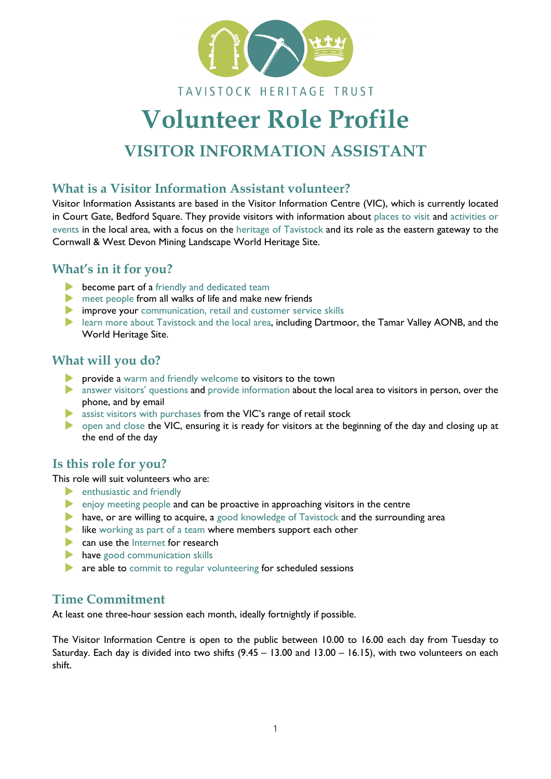

#### TAVISTOCK HERITAGE TRUST

# **Volunteer Role Profile**

# **VISITOR INFORMATION ASSISTANT**

#### **What is a Visitor Information Assistant volunteer?**

Visitor Information Assistants are based in the Visitor Information Centre (VIC), which is currently located in Court Gate, Bedford Square. They provide visitors with information about places to visit and activities or events in the local area, with a focus on the heritage of Tavistock and its role as the eastern gateway to the Cornwall & West Devon Mining Landscape World Heritage Site.

#### **What's in it for you?**

- **become part of a** friendly and dedicated team
- **EX MEET FROM A FIGURE 1** meet people from all walks of life and make new friends
- improve your communication, retail and customer service skills
- **EXECUTE 20** learn more about Tavistock and the local area, including Dartmoor, the Tamar Valley AONB, and the World Heritage Site.

#### **What will you do?**

- provide a warm and friendly welcome to visitors to the town
- **A** answer visitors' questions and provide information about the local area to visitors in person, over the phone, and by email
- assist visitors with purchases from the VIC's range of retail stock
- open and close the VIC, ensuring it is ready for visitors at the beginning of the day and closing up at the end of the day

#### **Is this role for you?**

This role will suit volunteers who are:

- **Exercise 2 Fendings** enthusiastic and friendly
- enjoy meeting people and can be proactive in approaching visitors in the centre
- have, or are willing to acquire, a good knowledge of Tavistock and the surrounding area
- like working as part of a team where members support each other
- can use the Internet for research
- have good communication skills
- **are able to commit to regular volunteering for scheduled sessions**

### **Time Commitment**

At least one three-hour session each month, ideally fortnightly if possible.

The Visitor Information Centre is open to the public between 10.00 to 16.00 each day from Tuesday to Saturday. Each day is divided into two shifts (9.45 – 13.00 and 13.00 – 16.15), with two volunteers on each shift.